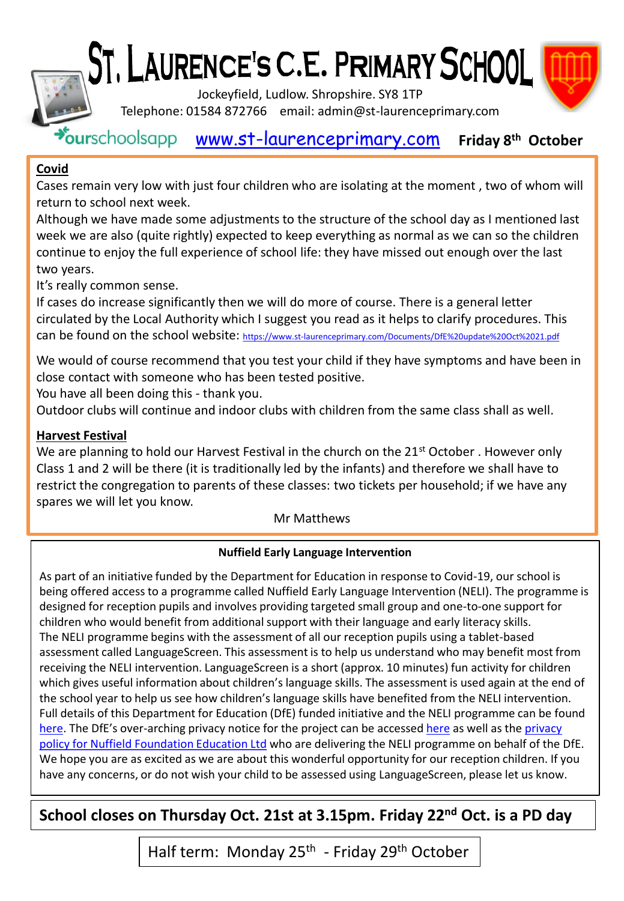# ST, LAURENCE'S C.E. PRIMARY SCHOOL



Jockeyfield, Ludlow. Shropshire. SY8 1TP

Telephone: 01584 872766 email: admin@st-laurenceprimary.com

[www.st-laurenceprimary.com](http://www.st-laurenceprimary.com/) **Friday 8 th October**

#### **Covid**

Cases remain very low with just four children who are isolating at the moment , two of whom will return to school next week.

Although we have made some adjustments to the structure of the school day as I mentioned last week we are also (quite rightly) expected to keep everything as normal as we can so the children continue to enjoy the full experience of school life: they have missed out enough over the last two years.

It's really common sense.

If cases do increase significantly then we will do more of course. There is a general letter circulated by the Local Authority which I suggest you read as it helps to clarify procedures. This can be found on the school website: [https://www.st-laurenceprimary.com/Documents/DfE%20update%20Oct%2021.pdf](https://www.st-laurenceprimary.com/Documents/DfE update Oct 21.pdf)

We would of course recommend that you test your child if they have symptoms and have been in close contact with someone who has been tested positive.

You have all been doing this - thank you.

Outdoor clubs will continue and indoor clubs with children from the same class shall as well.

#### **Harvest Festival**

We are planning to hold our Harvest Festival in the church on the  $21<sup>st</sup>$  October . However only Class 1 and 2 will be there (it is traditionally led by the infants) and therefore we shall have to restrict the congregation to parents of these classes: two tickets per household; if we have any spares we will let you know.

#### Mr Matthews

#### **Nuffield Early Language Intervention**

As part of an initiative funded by the Department for Education in response to Covid-19, our school is being offered access to a programme called Nuffield Early Language Intervention (NELI). The programme is designed for reception pupils and involves providing targeted small group and one-to-one support for children who would benefit from additional support with their language and early literacy skills. The NELI programme begins with the assessment of all our reception pupils using a tablet-based assessment called LanguageScreen. This assessment is to help us understand who may benefit most from receiving the NELI intervention. LanguageScreen is a short (approx. 10 minutes) fun activity for children which gives useful information about children's language skills. The assessment is used again at the end of the school year to help us see how children's language skills have benefited from the NELI intervention. Full details of this Department for Education (DfE) funded initiative and the NELI programme can be found [here.](https://www.teachneli.org/what-is-neli/) The DfE's [over-arching privacy notice for the project can be accessed here](https://www.teachneli.org/privacy-policy/) as well as the privacy policy for Nuffield Foundation Education Ltd who are delivering the NELI programme on behalf of the DfE. We hope you are as excited as we are about this wonderful opportunity for our reception children. If you have any concerns, or do not wish your child to be assessed using LanguageScreen, please let us know.

### **School closes on Thursday Oct. 21st at 3.15pm. Friday 22nd Oct. is a PD day**

Half term: Monday 25<sup>th</sup> - Friday 29<sup>th</sup> October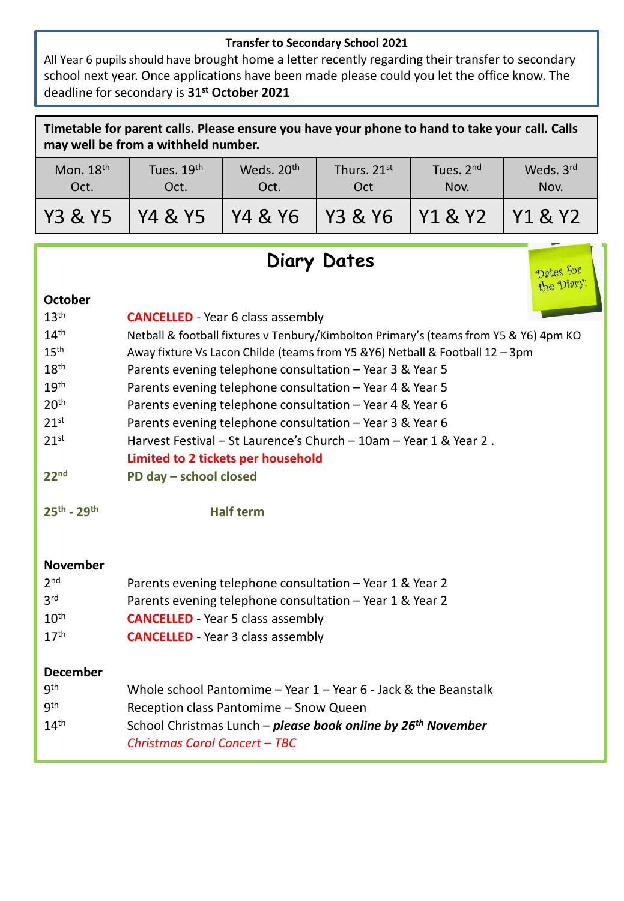#### **Transfer to Secondary School 2021**

All Year 6 pupils should have brought home a letter recently regarding their transfer to secondary school next year. Once applications have been made please could you let the office know. The deadline for secondary is **31st October 2021**

| Timetable for parent calls. Please ensure you have your phone to hand to take your call. Calls<br>may well be from a withheld number. |                    |                                |                     |                   |                                               |
|---------------------------------------------------------------------------------------------------------------------------------------|--------------------|--------------------------------|---------------------|-------------------|-----------------------------------------------|
| Mon. $18th$<br>Oct.                                                                                                                   | Tues. 19th<br>Oct. | Weds. 20 <sup>th</sup><br>Oct. | Thurs. 21st<br>Oct  | Tues. 2nd<br>Nov. | Weds. 3rd<br>Nov.                             |
| Y3 & Y5'                                                                                                                              | Y4 & Y5            | Y4 & Y6                        | <b>IY3 &amp; Y6</b> | Y1 & Y2           | $\frac{1}{2}$ Y <sub>1</sub> & Y <sub>2</sub> |

## **Diary Dates**

|                     | <b>Diary Dates</b><br>Dates for<br>the Diary:                                                             |  |  |
|---------------------|-----------------------------------------------------------------------------------------------------------|--|--|
| <b>October</b>      |                                                                                                           |  |  |
| 13 <sup>th</sup>    | <b>CANCELLED</b> - Year 6 class assembly                                                                  |  |  |
| 14 <sup>th</sup>    | Netball & football fixtures v Tenbury/Kimbolton Primary's (teams from Y5 & Y6) 4pm KO                     |  |  |
| 15 <sup>th</sup>    | Away fixture Vs Lacon Childe (teams from Y5 &Y6) Netball & Football 12 - 3pm                              |  |  |
| 18 <sup>th</sup>    | Parents evening telephone consultation - Year 3 & Year 5                                                  |  |  |
| 19 <sup>th</sup>    | Parents evening telephone consultation - Year 4 & Year 5                                                  |  |  |
| 20 <sup>th</sup>    | Parents evening telephone consultation - Year 4 & Year 6                                                  |  |  |
| 21 <sup>st</sup>    | Parents evening telephone consultation - Year 3 & Year 6                                                  |  |  |
| 21 <sup>st</sup>    | Harvest Festival - St Laurence's Church - 10am - Year 1 & Year 2.                                         |  |  |
|                     | <b>Limited to 2 tickets per household</b>                                                                 |  |  |
| 22 <sup>nd</sup>    | PD day - school closed                                                                                    |  |  |
| $25^{th} - 29^{th}$ | <b>Half term</b>                                                                                          |  |  |
| <b>November</b>     |                                                                                                           |  |  |
| 2 <sub>nd</sub>     | Parents evening telephone consultation - Year 1 & Year 2                                                  |  |  |
| 3 <sup>rd</sup>     | Parents evening telephone consultation - Year 1 & Year 2                                                  |  |  |
| 10 <sup>th</sup>    | <b>CANCELLED</b> - Year 5 class assembly                                                                  |  |  |
| 17 <sup>th</sup>    | <b>CANCELLED</b> - Year 3 class assembly                                                                  |  |  |
| <b>December</b>     |                                                                                                           |  |  |
| gth                 | Whole school Pantomime - Year $1$ - Year 6 - Jack & the Beanstalk                                         |  |  |
| <b>gth</b>          | Reception class Pantomime - Snow Queen                                                                    |  |  |
| 14 <sup>th</sup>    | School Christmas Lunch – please book online by 26 <sup>th</sup> November<br>Christmas Carol Concert - TBC |  |  |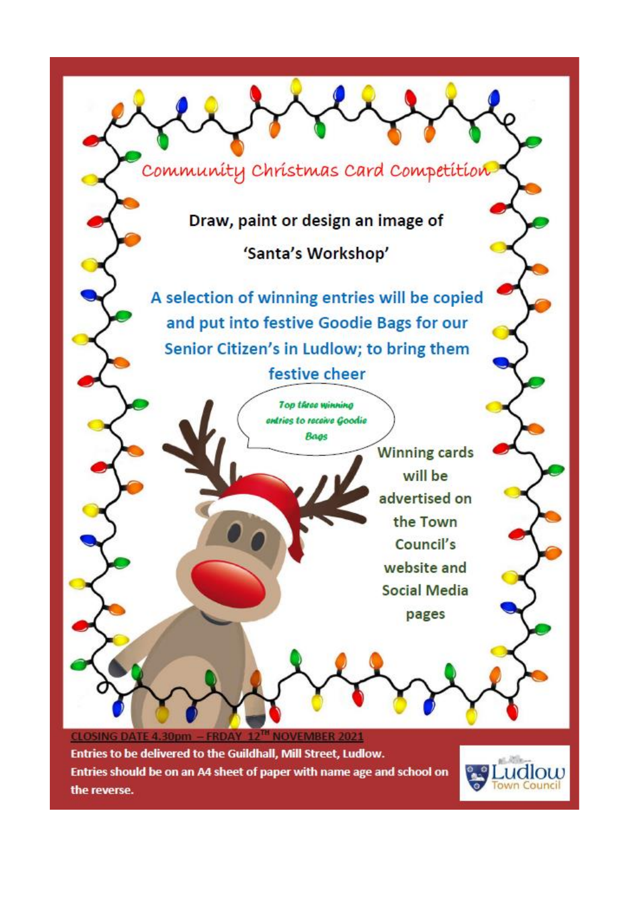